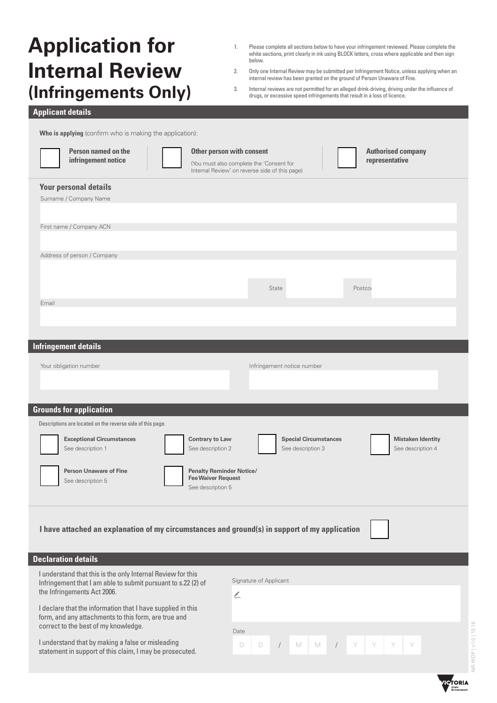# **Application for Internal Review (Infringements Only)**

- 1. Please complete all sections below to have your infringement reviewed. Please complete the white sections, print clearly in ink using BLOCK letters, cross where applicable and then sign below.
- 2. Only one Internal Review may be submitted per Infringement Notice, unless applying when an internal review has been granted on the ground of Person Unaware of Fine.
- 3. Internal reviews are not permitted for an alleged drink-driving, driving under the influence of drugs, or excessive speed infringements that result in a loss of licence.

### **Applicant details**

**Who is applying** (confirm who is making the application):

| Person named on the<br>infringement notice                                                                                   | Other person with consent<br>(You must also complete the 'Consent for<br>Internal Review' on reverse side of this page) | <b>Authorised company</b><br>representative |
|------------------------------------------------------------------------------------------------------------------------------|-------------------------------------------------------------------------------------------------------------------------|---------------------------------------------|
| <b>Your personal details</b>                                                                                                 |                                                                                                                         |                                             |
| Surname / Company Name                                                                                                       |                                                                                                                         |                                             |
|                                                                                                                              |                                                                                                                         |                                             |
| First name / Company ACN                                                                                                     |                                                                                                                         |                                             |
|                                                                                                                              |                                                                                                                         |                                             |
| Address of person / Company                                                                                                  |                                                                                                                         |                                             |
|                                                                                                                              |                                                                                                                         |                                             |
|                                                                                                                              |                                                                                                                         |                                             |
|                                                                                                                              | State                                                                                                                   | Postcor                                     |
| Email                                                                                                                        |                                                                                                                         |                                             |
|                                                                                                                              |                                                                                                                         |                                             |
|                                                                                                                              |                                                                                                                         |                                             |
| <b>Infringement details</b>                                                                                                  |                                                                                                                         |                                             |
|                                                                                                                              |                                                                                                                         |                                             |
| Your obligation number                                                                                                       | Infringement notice number                                                                                              |                                             |
|                                                                                                                              |                                                                                                                         |                                             |
|                                                                                                                              |                                                                                                                         |                                             |
| <b>Grounds for application</b>                                                                                               |                                                                                                                         |                                             |
|                                                                                                                              |                                                                                                                         |                                             |
| Descriptions are located on the reverse side of this page.                                                                   |                                                                                                                         |                                             |
| <b>Exceptional Circumstances</b>                                                                                             | <b>Contrary to Law</b><br><b>Special Circumstances</b>                                                                  | <b>Mistaken Identity</b>                    |
| See description 1                                                                                                            | See description 2<br>See description 3                                                                                  | See description 4                           |
|                                                                                                                              |                                                                                                                         |                                             |
| <b>Person Unaware of Fine</b><br>See description 5                                                                           | <b>Penalty Reminder Notice/</b><br><b>Fee Waiver Request</b>                                                            |                                             |
|                                                                                                                              | See description 5                                                                                                       |                                             |
|                                                                                                                              |                                                                                                                         |                                             |
|                                                                                                                              |                                                                                                                         |                                             |
| I have attached an explanation of my circumstances and ground(s) in support of my application                                |                                                                                                                         |                                             |
|                                                                                                                              |                                                                                                                         |                                             |
| <b>Declaration details</b>                                                                                                   |                                                                                                                         |                                             |
|                                                                                                                              |                                                                                                                         |                                             |
| I understand that this is the only Internal Review for this<br>Infringement that I am able to submit pursuant to s.22 (2) of | Signature of Applicant                                                                                                  |                                             |
| the Infringements Act 2006.                                                                                                  | $\sum_{i=1}^{n}$                                                                                                        |                                             |
| I declare that the information that I have supplied in this                                                                  |                                                                                                                         |                                             |
| form, and any attachments to this form, are true and<br>correct to the best of my knowledge.                                 |                                                                                                                         |                                             |
|                                                                                                                              | Date                                                                                                                    |                                             |
| I understand that by making a false or misleading<br>statement in support of this claim, I may be prosecuted.                | $\mathbb M$<br>D<br>M<br>D                                                                                              | Y                                           |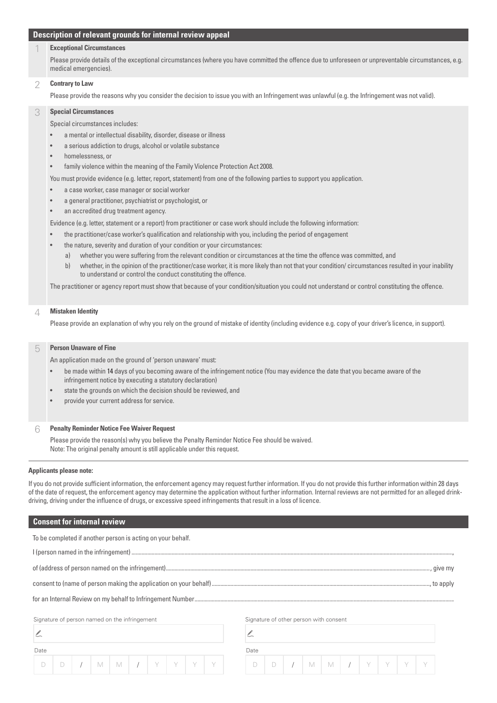#### **Description of relevant grounds for internal review appeal**

#### 1 **Exceptional Circumstances**

Please provide details of the exceptional circumstances (where you have committed the offence due to unforeseen or unpreventable circumstances, e.g. medical emergencies).

#### 2 **Contrary to Law**

Please provide the reasons why you consider the decision to issue you with an Infringement was unlawful (e.g. the Infringement was not valid).

#### 3 **Special Circumstances**

Special circumstances includes:

- a mental or intellectual disability, disorder, disease or illness
- a serious addiction to drugs, alcohol or volatile substance
- homelessness, or
- family violence within the meaning of the Family Violence Protection Act 2008.

You must provide evidence (e.g. letter, report, statement) from one of the following parties to support you application.

- a case worker, case manager or social worker
- a general practitioner, psychiatrist or psychologist, or
- an accredited drug treatment agency.

Evidence (e.g. letter, statement or a report) from practitioner or case work should include the following information:

- the practitioner/case worker's qualification and relationship with you, including the period of engagement
- the nature, severity and duration of your condition or your circumstances:
	- a) whether you were suffering from the relevant condition or circumstances at the time the offence was committed, and
	- b) whether, in the opinion of the practitioner/case worker, it is more likely than not that your condition/ circumstances resulted in your inability to understand or control the conduct constituting the offence.

The practitioner or agency report must show that because of your condition/situation you could not understand or control constituting the offence.

#### 4 **Mistaken Identity**

Please provide an explanation of why you rely on the ground of mistake of identity (including evidence e.g. copy of your driver's licence, in support).

#### 5 **Person Unaware of Fine**

An application made on the ground of 'person unaware' must:

- be made within 14 days of you becoming aware of the infringement notice (You may evidence the date that you became aware of the infringement notice by executing a statutory declaration)
- state the grounds on which the decision should be reviewed, and
- provide your current address for service.

#### 6 **Penalty Reminder Notice Fee Waiver Request**

Please provide the reason(s) why you believe the Penalty Reminder Notice Fee should be waived. Note: The original penalty amount is still applicable under this request.

#### **Applicants please note:**

If you do not provide sufficient information, the enforcement agency may request further information. If you do not provide this further information within 28 days of the date of request, the enforcement agency may determine the application without further information. Internal reviews are not permitted for an alleged drinkdriving, driving under the influence of drugs, or excessive speed infringements that result in a loss of licence.

#### **Consent for internal review**

| To be completed if another person is acting on your behalf. |                                        |
|-------------------------------------------------------------|----------------------------------------|
|                                                             |                                        |
|                                                             |                                        |
|                                                             |                                        |
|                                                             |                                        |
| Signature of person named on the infringement               | Signature of other person with consent |
|                                                             |                                        |
|                                                             | )ate                                   |

D | D | / | M | M | / | Y | Y | Y | Y | Y | D | D | / | M | M | / | Y | Y | Y | Y